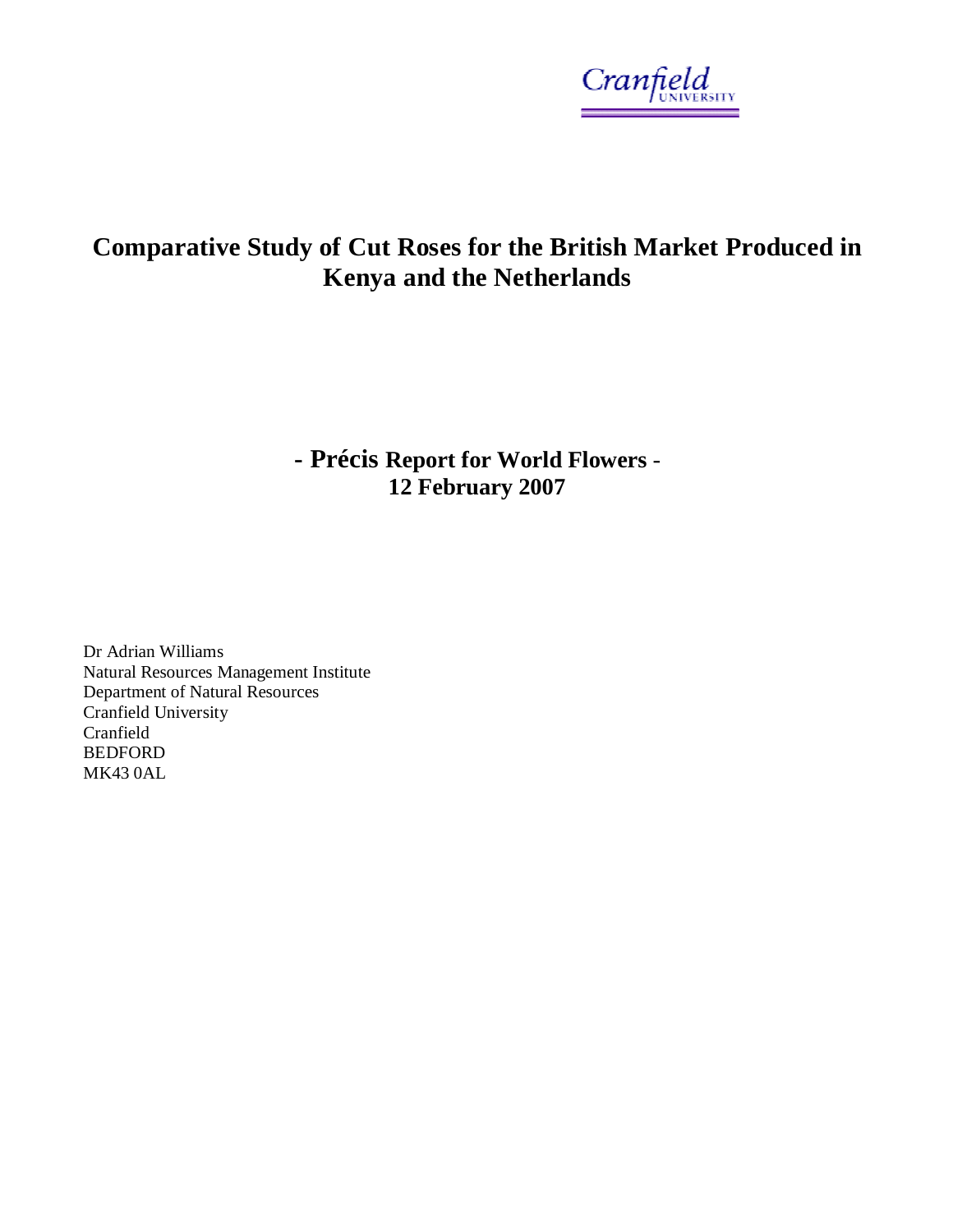

# **Comparative Study of Cut Roses for the British Market Produced in Kenya and the Netherlands**

**- Précis Report for World Flowers** - **12 February 2007** 

Dr Adrian Williams Natural Resources Management Institute Department of Natural Resources Cranfield University Cranfield BEDFORD MK43 0AL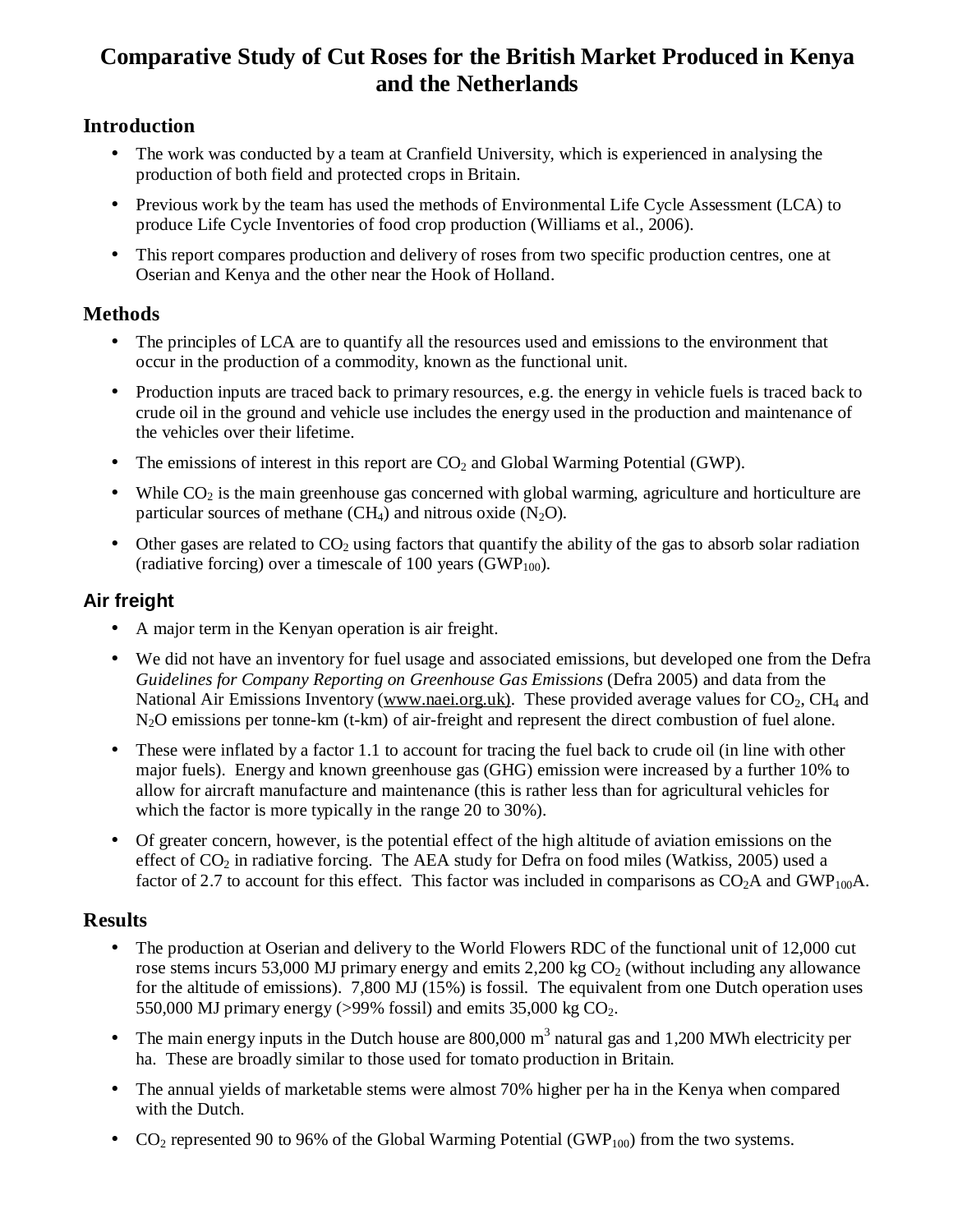## **Comparative Study of Cut Roses for the British Market Produced in Kenya and the Netherlands**

### **Introduction**

- The work was conducted by a team at Cranfield University, which is experienced in analysing the production of both field and protected crops in Britain.
- Previous work by the team has used the methods of Environmental Life Cycle Assessment (LCA) to produce Life Cycle Inventories of food crop production (Williams et al., 2006).
- This report compares production and delivery of roses from two specific production centres, one at Oserian and Kenya and the other near the Hook of Holland.

#### **Methods**

- The principles of LCA are to quantify all the resources used and emissions to the environment that occur in the production of a commodity, known as the functional unit.
- Production inputs are traced back to primary resources, e.g. the energy in vehicle fuels is traced back to crude oil in the ground and vehicle use includes the energy used in the production and maintenance of the vehicles over their lifetime.
- The emissions of interest in this report are  $CO<sub>2</sub>$  and Global Warming Potential (GWP).
- While  $CO<sub>2</sub>$  is the main greenhouse gas concerned with global warming, agriculture and horticulture are particular sources of methane (CH<sub>4</sub>) and nitrous oxide  $(N_2O)$ .
- Other gases are related to  $CO<sub>2</sub>$  using factors that quantify the ability of the gas to absorb solar radiation (radiative forcing) over a timescale of 100 years (GWP<sub>100</sub>).

## **Air freight**

- A major term in the Kenyan operation is air freight.
- We did not have an inventory for fuel usage and associated emissions, but developed one from the Defra *Guidelines for Company Reporting on Greenhouse Gas Emissions* (Defra 2005) and data from the National Air Emissions Inventory [\(www.naei.org.uk\)](http://www.naei.org.uk)). These provided average values for  $CO<sub>2</sub>$ , CH<sub>4</sub> and N2O emissions per tonne-km (t-km) of air-freight and represent the direct combustion of fuel alone.
- These were inflated by a factor 1.1 to account for tracing the fuel back to crude oil (in line with other major fuels). Energy and known greenhouse gas (GHG) emission were increased by a further 10% to allow for aircraft manufacture and maintenance (this is rather less than for agricultural vehicles for which the factor is more typically in the range 20 to 30%).
- Of greater concern, however, is the potential effect of the high altitude of aviation emissions on the effect of  $CO<sub>2</sub>$  in radiative forcing. The AEA study for Defra on food miles (Watkiss, 2005) used a factor of 2.7 to account for this effect. This factor was included in comparisons as  $CO<sub>2</sub>A$  and GWP<sub>100</sub>A.

#### **Results**

- The production at Oserian and delivery to the World Flowers RDC of the functional unit of 12,000 cut rose stems incurs 53,000 MJ primary energy and emits 2,200 kg  $CO<sub>2</sub>$  (without including any allowance for the altitude of emissions). 7,800 MJ (15%) is fossil. The equivalent from one Dutch operation uses 550,000 MJ primary energy ( $>99\%$  fossil) and emits 35,000 kg CO<sub>2</sub>.
- The main energy inputs in the Dutch house are  $800,000$  m<sup>3</sup> natural gas and 1,200 MWh electricity per ha. These are broadly similar to those used for tomato production in Britain.
- The annual yields of marketable stems were almost 70% higher per ha in the Kenya when compared with the Dutch.
- CO<sub>2</sub> represented 90 to 96% of the Global Warming Potential (GWP<sub>100</sub>) from the two systems.